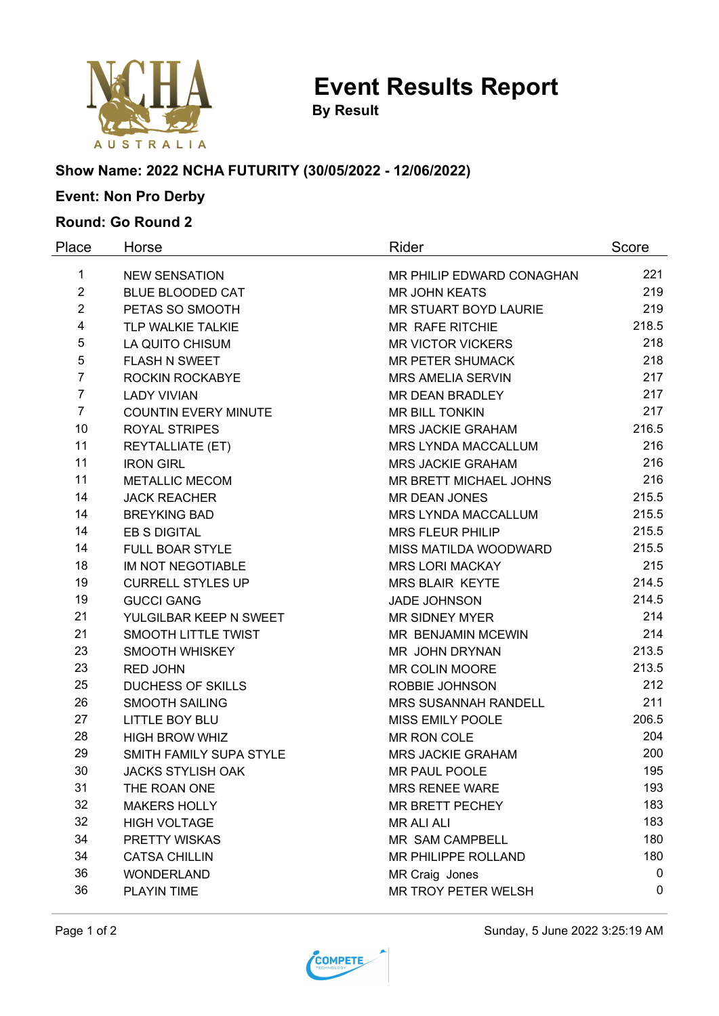

**Event Results Report**

**By Result**

### **Show Name: 2022 NCHA FUTURITY (30/05/2022 - 12/06/2022)**

# **Event: Non Pro Derby**

### **Round: Go Round 2**

| Place          | Horse                       | Rider                         | Score       |
|----------------|-----------------------------|-------------------------------|-------------|
| 1              | <b>NEW SENSATION</b>        | MR PHILIP EDWARD CONAGHAN     | 221         |
| $\overline{2}$ | <b>BLUE BLOODED CAT</b>     | <b>MR JOHN KEATS</b>          | 219         |
| $\overline{2}$ | PETAS SO SMOOTH             | MR STUART BOYD LAURIE         | 219         |
| 4              | TLP WALKIE TALKIE           | MR RAFE RITCHIE               | 218.5       |
| 5              | LA QUITO CHISUM             | <b>MR VICTOR VICKERS</b>      | 218         |
| 5              | <b>FLASH N SWEET</b>        | <b>MR PETER SHUMACK</b>       | 218         |
| $\overline{7}$ | ROCKIN ROCKABYE             | <b>MRS AMELIA SERVIN</b>      | 217         |
| $\overline{7}$ | <b>LADY VIVIAN</b>          | <b>MR DEAN BRADLEY</b>        | 217         |
| $\overline{7}$ | <b>COUNTIN EVERY MINUTE</b> | MR BILL TONKIN                | 217         |
| 10             | <b>ROYAL STRIPES</b>        | <b>MRS JACKIE GRAHAM</b>      | 216.5       |
| 11             | REYTALLIATE (ET)            | MRS LYNDA MACCALLUM           | 216         |
| 11             | <b>IRON GIRL</b>            | <b>MRS JACKIE GRAHAM</b>      | 216         |
| 11             | <b>METALLIC MECOM</b>       | <b>MR BRETT MICHAEL JOHNS</b> | 216         |
| 14             | <b>JACK REACHER</b>         | <b>MR DEAN JONES</b>          | 215.5       |
| 14             | <b>BREYKING BAD</b>         | MRS LYNDA MACCALLUM           | 215.5       |
| 14             | <b>EB S DIGITAL</b>         | <b>MRS FLEUR PHILIP</b>       | 215.5       |
| 14             | <b>FULL BOAR STYLE</b>      | MISS MATILDA WOODWARD         | 215.5       |
| 18             | IM NOT NEGOTIABLE           | <b>MRS LORI MACKAY</b>        | 215         |
| 19             | <b>CURRELL STYLES UP</b>    | <b>MRS BLAIR KEYTE</b>        | 214.5       |
| 19             | <b>GUCCI GANG</b>           | <b>JADE JOHNSON</b>           | 214.5       |
| 21             | YULGILBAR KEEP N SWEET      | <b>MR SIDNEY MYER</b>         | 214         |
| 21             | SMOOTH LITTLE TWIST         | MR BENJAMIN MCEWIN            | 214         |
| 23             | SMOOTH WHISKEY              | MR JOHN DRYNAN                | 213.5       |
| 23             | <b>RED JOHN</b>             | MR COLIN MOORE                | 213.5       |
| 25             | <b>DUCHESS OF SKILLS</b>    | ROBBIE JOHNSON                | 212         |
| 26             | <b>SMOOTH SAILING</b>       | <b>MRS SUSANNAH RANDELL</b>   | 211         |
| 27             | <b>LITTLE BOY BLU</b>       | MISS EMILY POOLE              | 206.5       |
| 28             | <b>HIGH BROW WHIZ</b>       | MR RON COLE                   | 204         |
| 29             | SMITH FAMILY SUPA STYLE     | <b>MRS JACKIE GRAHAM</b>      | 200         |
| 30             | <b>JACKS STYLISH OAK</b>    | MR PAUL POOLE                 | 195         |
| 31             | THE ROAN ONE                | <b>MRS RENEE WARE</b>         | 193         |
| 32             | <b>MAKERS HOLLY</b>         | <b>MR BRETT PECHEY</b>        | 183         |
| 32             | <b>HIGH VOLTAGE</b>         | <b>MR ALI ALI</b>             | 183         |
| 34             | PRETTY WISKAS               | MR SAM CAMPBELL               | 180         |
| 34             | <b>CATSA CHILLIN</b>        | <b>MR PHILIPPE ROLLAND</b>    | 180         |
| 36             | <b>WONDERLAND</b>           | MR Craig Jones                | $\mathbf 0$ |
| 36             | PLAYIN TIME                 | MR TROY PETER WELSH           | 0           |